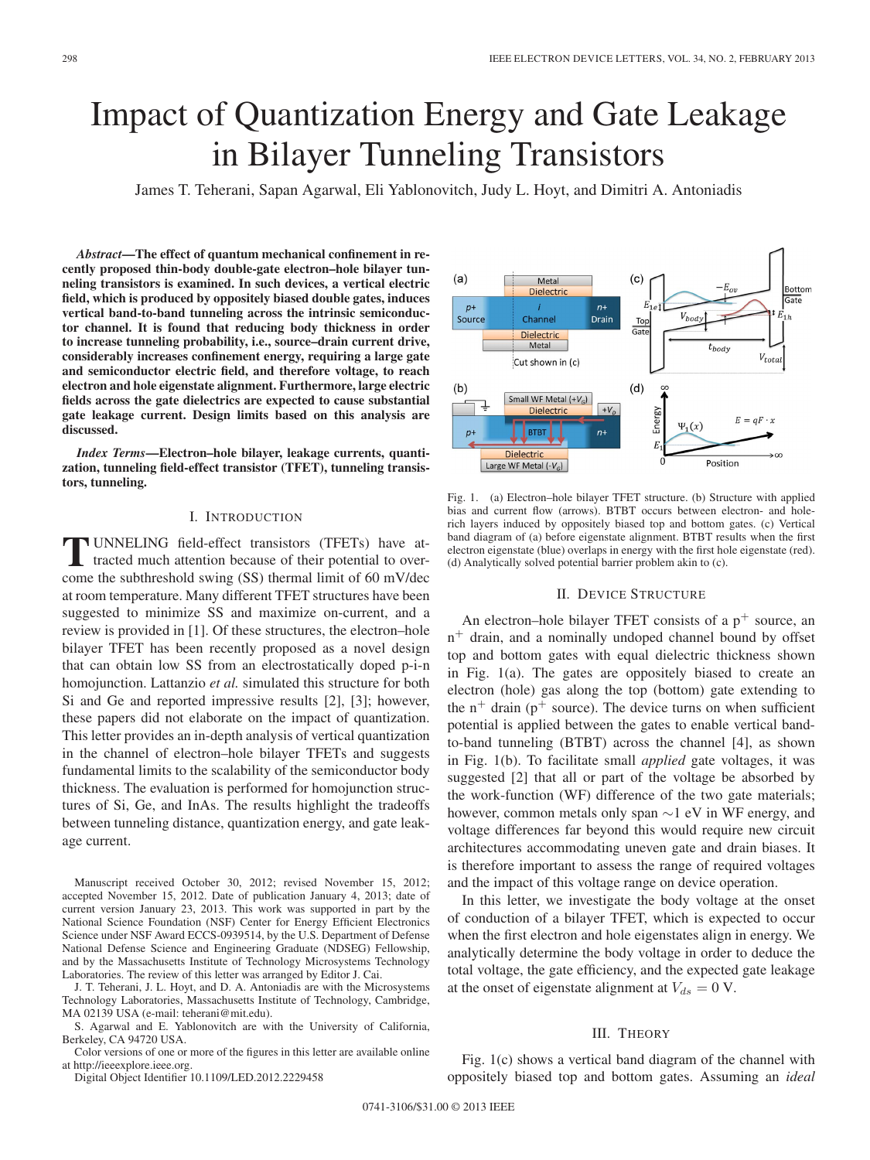# Impact of Quantization Energy and Gate Leakage in Bilayer Tunneling Transistors

James T. Teherani, Sapan Agarwal, Eli Yablonovitch, Judy L. Hoyt, and Dimitri A. Antoniadis

*Abstract***—The effect of quantum mechanical confinement in recently proposed thin-body double-gate electron–hole bilayer tunneling transistors is examined. In such devices, a vertical electric field, which is produced by oppositely biased double gates, induces vertical band-to-band tunneling across the intrinsic semiconductor channel. It is found that reducing body thickness in order to increase tunneling probability, i.e., source–drain current drive, considerably increases confinement energy, requiring a large gate and semiconductor electric field, and therefore voltage, to reach electron and hole eigenstate alignment. Furthermore, large electric fields across the gate dielectrics are expected to cause substantial gate leakage current. Design limits based on this analysis are discussed.**

*Index Terms***—Electron–hole bilayer, leakage currents, quantization, tunneling field-effect transistor (TFET), tunneling transistors, tunneling.**

#### I. INTRODUCTION

**T** UNNELING field-effect transistors (TFETs) have attracted much attention because of their potential to overcome the subthreshold swing (SS) thermal limit of 60 mV/dec at room temperature. Many different TFET structures have been suggested to minimize SS and maximize on-current, and a review is provided in [1]. Of these structures, the electron–hole bilayer TFET has been recently proposed as a novel design that can obtain low SS from an electrostatically doped p-i-n homojunction. Lattanzio *et al.* simulated this structure for both Si and Ge and reported impressive results [2], [3]; however, these papers did not elaborate on the impact of quantization. This letter provides an in-depth analysis of vertical quantization in the channel of electron–hole bilayer TFETs and suggests fundamental limits to the scalability of the semiconductor body thickness. The evaluation is performed for homojunction structures of Si, Ge, and InAs. The results highlight the tradeoffs between tunneling distance, quantization energy, and gate leakage current.

Manuscript received October 30, 2012; revised November 15, 2012; accepted November 15, 2012. Date of publication January 4, 2013; date of current version January 23, 2013. This work was supported in part by the National Science Foundation (NSF) Center for Energy Efficient Electronics Science under NSF Award ECCS-0939514, by the U.S. Department of Defense National Defense Science and Engineering Graduate (NDSEG) Fellowship, and by the Massachusetts Institute of Technology Microsystems Technology Laboratories. The review of this letter was arranged by Editor J. Cai.

J. T. Teherani, J. L. Hoyt, and D. A. Antoniadis are with the Microsystems Technology Laboratories, Massachusetts Institute of Technology, Cambridge, MA 02139 USA (e-mail: teherani@mit.edu).

S. Agarwal and E. Yablonovitch are with the University of California, Berkeley, CA 94720 USA.

Color versions of one or more of the figures in this letter are available online at http://ieeexplore.ieee.org.

Digital Object Identifier 10.1109/LED.2012.2229458



Fig. 1. (a) Electron–hole bilayer TFET structure. (b) Structure with applied bias and current flow (arrows). BTBT occurs between electron- and holerich layers induced by oppositely biased top and bottom gates. (c) Vertical band diagram of (a) before eigenstate alignment. BTBT results when the first electron eigenstate (blue) overlaps in energy with the first hole eigenstate (red). (d) Analytically solved potential barrier problem akin to (c).

## II. DEVICE STRUCTURE

An electron–hole bilayer TFET consists of a  $p^+$  source, an  $n^+$  drain, and a nominally undoped channel bound by offset top and bottom gates with equal dielectric thickness shown in Fig. 1(a). The gates are oppositely biased to create an electron (hole) gas along the top (bottom) gate extending to the  $n^{+}$  drain ( $p^{+}$  source). The device turns on when sufficient potential is applied between the gates to enable vertical bandto-band tunneling (BTBT) across the channel [4], as shown in Fig. 1(b). To facilitate small *applied* gate voltages, it was suggested [2] that all or part of the voltage be absorbed by the work-function (WF) difference of the two gate materials; however, common metals only span ∼1 eV in WF energy, and voltage differences far beyond this would require new circuit architectures accommodating uneven gate and drain biases. It is therefore important to assess the range of required voltages and the impact of this voltage range on device operation.

In this letter, we investigate the body voltage at the onset of conduction of a bilayer TFET, which is expected to occur when the first electron and hole eigenstates align in energy. We analytically determine the body voltage in order to deduce the total voltage, the gate efficiency, and the expected gate leakage at the onset of eigenstate alignment at  $V_{ds} = 0$  V.

# III. THEORY

Fig. 1(c) shows a vertical band diagram of the channel with oppositely biased top and bottom gates. Assuming an *ideal*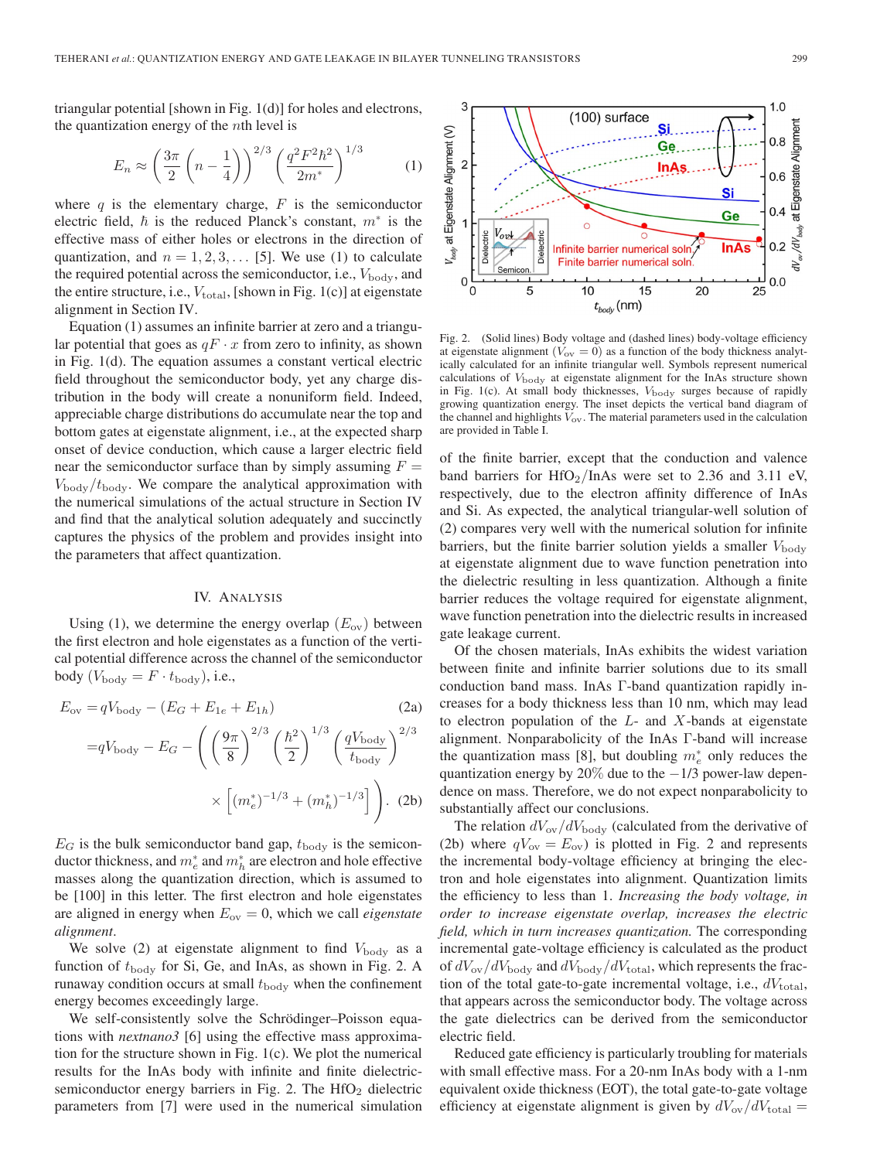triangular potential [shown in Fig. 1(d)] for holes and electrons, the quantization energy of the  $n$ th level is

$$
E_n \approx \left(\frac{3\pi}{2}\left(n - \frac{1}{4}\right)\right)^{2/3} \left(\frac{q^2 F^2 \hbar^2}{2m^*}\right)^{1/3} \tag{1}
$$

where q is the elementary charge,  $F$  is the semiconductor electric field,  $\hbar$  is the reduced Planck's constant,  $m^*$  is the effective mass of either holes or electrons in the direction of quantization, and  $n = 1, 2, 3, \dots$  [5]. We use (1) to calculate the required potential across the semiconductor, i.e.,  $V_{\text{body}}$ , and the entire structure, i.e.,  $V_{total}$ , [shown in Fig. 1(c)] at eigenstate alignment in Section IV.

Equation (1) assumes an infinite barrier at zero and a triangular potential that goes as  $qF \cdot x$  from zero to infinity, as shown in Fig. 1(d). The equation assumes a constant vertical electric field throughout the semiconductor body, yet any charge distribution in the body will create a nonuniform field. Indeed, appreciable charge distributions do accumulate near the top and bottom gates at eigenstate alignment, i.e., at the expected sharp onset of device conduction, which cause a larger electric field near the semiconductor surface than by simply assuming  $F =$  $V_{\text{body}}/t_{\text{body}}$ . We compare the analytical approximation with the numerical simulations of the actual structure in Section IV and find that the analytical solution adequately and succinctly captures the physics of the problem and provides insight into the parameters that affect quantization.

## IV. ANALYSIS

Using (1), we determine the energy overlap  $(E_{ov})$  between the first electron and hole eigenstates as a function of the vertical potential difference across the channel of the semiconductor body  $(V_{\text{body}} = F \cdot t_{\text{body}})$ , i.e.,

$$
E_{\text{ov}} = qV_{\text{body}} - (E_G + E_{1e} + E_{1h})
$$
\n
$$
= qV_{\text{body}} - E_G - \left( \left( \frac{9\pi}{8} \right)^{2/3} \left( \frac{\hbar^2}{2} \right)^{1/3} \left( \frac{qV_{\text{body}}}{t_{\text{body}}} \right)^{2/3} \right)
$$
\n
$$
\times \left[ (m_e^*)^{-1/3} + (m_h^*)^{-1/3} \right] \right). \text{ (2b)}
$$

 $E_G$  is the bulk semiconductor band gap,  $t_{\text{body}}$  is the semiconductor thickness, and  $m_e^*$  and  $m_h^*$  are electron and hole effective masses along the quantization direction, which is assumed to be [100] in this letter. The first electron and hole eigenstates are aligned in energy when  $E_{\text{ov}} = 0$ , which we call *eigenstate alignment*.

We solve (2) at eigenstate alignment to find  $V_{\text{body}}$  as a function of  $t_{\text{body}}$  for Si, Ge, and InAs, as shown in Fig. 2. A runaway condition occurs at small  $t_{\text{body}}$  when the confinement energy becomes exceedingly large.

We self-consistently solve the Schrödinger–Poisson equations with *nextnano3* [6] using the effective mass approximation for the structure shown in Fig. 1(c). We plot the numerical results for the InAs body with infinite and finite dielectricsemiconductor energy barriers in Fig. 2. The  $HfO<sub>2</sub>$  dielectric parameters from [7] were used in the numerical simulation



Fig. 2. (Solid lines) Body voltage and (dashed lines) body-voltage efficiency at eigenstate alignment ( $V_{\text{ov}} = 0$ ) as a function of the body thickness analytically calculated for an infinite triangular well. Symbols represent numerical calculations of  $V_{\text{body}}$  at eigenstate alignment for the InAs structure shown in Fig. 1(c). At small body thicknesses,  $V_{\text{body}}$  surges because of rapidly growing quantization energy. The inset depicts the vertical band diagram of the channel and highlights  $V_{ov}$ . The material parameters used in the calculation are provided in Table I.

of the finite barrier, except that the conduction and valence band barriers for  $HfO_2/InAs$  were set to 2.36 and 3.11 eV, respectively, due to the electron affinity difference of InAs and Si. As expected, the analytical triangular-well solution of (2) compares very well with the numerical solution for infinite barriers, but the finite barrier solution yields a smaller  $V_{\text{body}}$ at eigenstate alignment due to wave function penetration into the dielectric resulting in less quantization. Although a finite barrier reduces the voltage required for eigenstate alignment, wave function penetration into the dielectric results in increased gate leakage current.

Of the chosen materials, InAs exhibits the widest variation between finite and infinite barrier solutions due to its small conduction band mass. InAs Γ-band quantization rapidly increases for a body thickness less than 10 nm, which may lead to electron population of the  $L$ - and  $X$ -bands at eigenstate alignment. Nonparabolicity of the InAs Γ-band will increase the quantization mass [8], but doubling  $m_e^*$  only reduces the quantization energy by 20% due to the  $-1/3$  power-law dependence on mass. Therefore, we do not expect nonparabolicity to substantially affect our conclusions.

The relation  $dV_{\text{ov}}/dV_{\text{body}}$  (calculated from the derivative of (2b) where  $qV_{\text{ov}} = E_{\text{ov}}$ ) is plotted in Fig. 2 and represents the incremental body-voltage efficiency at bringing the electron and hole eigenstates into alignment. Quantization limits the efficiency to less than 1. *Increasing the body voltage, in order to increase eigenstate overlap, increases the electric field, which in turn increases quantization.* The corresponding incremental gate-voltage efficiency is calculated as the product of  $dV_{\text{ov}}/dV_{\text{body}}$  and  $dV_{\text{body}}/dV_{\text{total}}$ , which represents the fraction of the total gate-to-gate incremental voltage, i.e.,  $dV_{total}$ , that appears across the semiconductor body. The voltage across the gate dielectrics can be derived from the semiconductor electric field.

Reduced gate efficiency is particularly troubling for materials with small effective mass. For a 20-nm InAs body with a 1-nm equivalent oxide thickness (EOT), the total gate-to-gate voltage efficiency at eigenstate alignment is given by  $dV_{\text{ov}}/dV_{\text{total}} =$